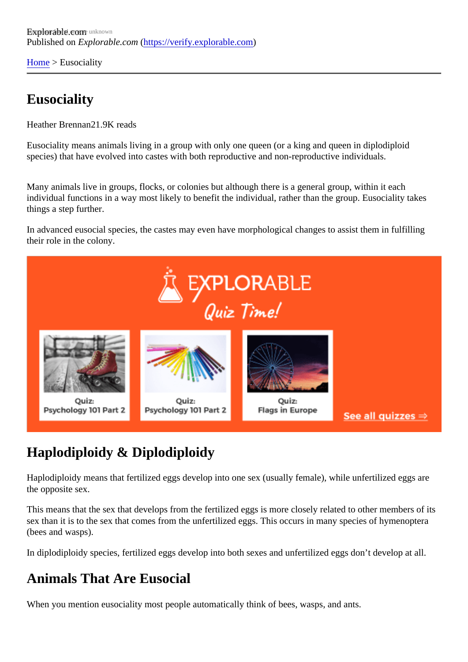[Home](https://verify.explorable.com/)> Eusociality

## **Eusociality**

Heather Brennan 9K reads

Eusociality means animals living in a group with only one queen (or a king and queen in diplodiploid species) that have evolved into castes with both reproductive and non-reproductive individuals.

Many animals live in groups, flocks, or colonies but although there is a general group, within it each individual functions in a way most likely to benefit the individual, rather than the group. Eusociality takes things a step further.

In advanced eusocial species, the castes may even have morphological changes to assist them in fulfilling their role in the colony.

## Haplodiploidy & Diplodiploidy

Haplodiploidy means that fertilized eggs develop into one sex (usually female), while unfertilized eggs are the opposite sex.

This means that the sex that develops from the fertilized eggs is more closely related to other members of sex than it is to the sex that comes from the unfertilized eggs. This occurs in many species of hymenopter (bees and wasps).

In diplodiploidy species, fertilized eggs develop into both sexes and unfertilized eggs don't develop at all.

## Animals That Are Eusocial

When you mention eusociality most people automatically think of bees, wasps, and ants.